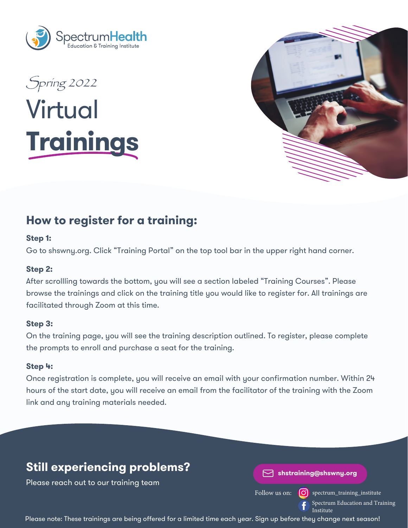





# **How to register for a training:**

#### **Step 1:**

Go to shswny.org. Click "Training Portal" on the top tool bar in the upper right hand corner.

### **Step 2:**

After scrollling towards the bottom, you will see a section labeled "Training Courses". Please browse the trainings and click on the training title you would like to register for. All trainings are facilitated through Zoom at this time.

### **Step 3:**

On the training page, you will see the training description outlined. To register, please complete the prompts to enroll and purchase a seat for the training.

#### **Step 4:**

Once registration is complete, you will receive an email with your confirmation number. Within 24 hours of the start date, you will receive an email from the facilitator of the training with the Zoom link and any training materials needed.

# **Still experiencing problems?**

Please reach out to our training team

**shstraining@shswny.org**

Follow us on:  $\boxed{\bullet}$  spectrum\_training\_institute Spectrum Education and Training Institute

Please note: These trainings are being offered for a limited time each year. Sign up before they change next season!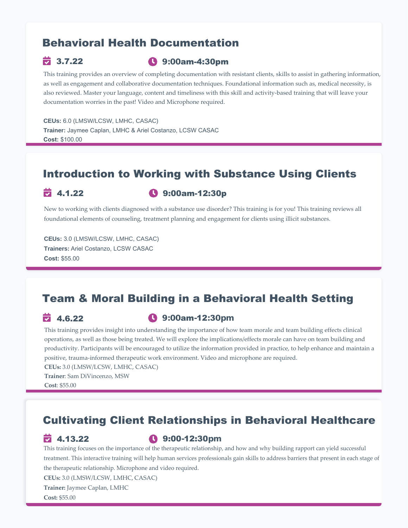## Behavioral Health Documentation

### $\overrightarrow{2}$  3.7.22  $\overrightarrow{3}$  9:00am-4:30pm

This training provides an overview of completing documentation with resistant clients, skills to assist in gathering information, as well as engagement and collaborative documentation techniques. Foundational information such as, medical necessity, is also reviewed. Master your language, content and timeliness with this skill and activity-based training that will leave your documentation worries in the past! Video and Microphone required.

**CEUs:** 6.0 (LMSW/LCSW, LMHC, CASAC) **Trainer:** Jaymee Caplan, LMHC & Ariel Costanzo, LCSW CASAC **Cost:** \$100.00

## Introduction to Working with Substance Using Clients

### $\overrightarrow{2}$  4.1.22 **0** 9:00am-12:30p

New to working with clients diagnosed with a substance use disorder? This training is for you! This training reviews all foundational elements of counseling, treatment planning and engagement for clients using illicit substances.

**CEUs:** 3.0 (LMSW/LCSW, LMHC, CASAC) **Trainers:** Ariel Costanzo, LCSW CASAC **Cost:** \$55.00

## Team & Moral Building in a Behavioral Health Setting

## $\overrightarrow{2}$  4.6.22  $\overrightarrow{9}$  9:00am-12:30pm

This training provides insight into understanding the importance of how team morale and team building effects clinical operations, as well as those being treated. We will explore the implications/effects morale can have on team building and productivity. Participants will be encouraged to utilize the information provided in practice, to help enhance and maintain a positive, trauma-informed therapeutic work environment. Video and microphone are required.

**CEUs:** 3.0 (LMSW/LCSW, LMHC, CASAC)

**Trainer**: Sam DiVincenzo, MSW **Cost**: \$55.00

## Cultivating Client Relationships in Behavioral Healthcare

### $\overline{2}$  4.13.22  $\overline{3}$  9:00-12:30pm

This training focuses on the importance of the therapeutic relationship, and how and why building rapport can yield successful treatment. This interactive training will help human services professionals gain skills to address barriers that present in each stage of the therapeutic relationship. Microphone and video required.

**CEUs:** 3.0 (LMSW/LCSW, LMHC, CASAC)

**Trainer:** Jaymee Caplan, LMHC

**Cost:** \$55.00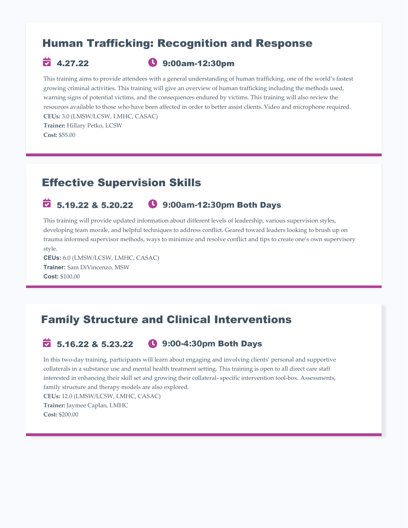## Human Trafficking: Recognition and Response

### $\overrightarrow{2}$  4.27.22  $\overrightarrow{9}$  9:00am-12:30pm

This training aims to provide attendees with a general understanding of human trafficking, one of the world's fastest growing criminal activities. This training will give an overview of human trafficking including the methods used, warning signs of potential victims, and the consequences endured by victims. This training will also review the resources available to those who have been affected in order to better assist clients. Video and microphone required. **CEUs:** 3.0 (LMSW/LCSW, LMHC, CASAC)

**Trainer:** Hillary Petko, LCSW **Cost:** \$55.00

## Effective Supervision Skills

## $\overline{5}$  5.19.22 & 5.20.22  $\bullet$  9:00am-12:30pm Both Days

This training will provide updated information about different levels of leadership, various supervision styles, developing team morale, and helpful techniques to address conflict. Geared toward leaders looking to brush up on trauma informed supervisor methods, ways to minimize and resolve conflict and tips to create one's own supervisory style.

**CEUs:** 6.0 (LMSW/LCSW, LMHC, CASAC) **Trainer:** Sam DiVincenzo, MSW **Cost:** \$100.00

## Family Structure and Clinical Interventions

### $\overline{2}$  5.16.22 & 5.23.22  $\bullet$  9:00-4:30pm Both Days

In this two-day training, participants will learn about engaging and involving clients' personal and supportive collaterals in a substance use and mental health treatment setting. This training is open to all direct care staff interested in enhancing their skill set and growing their collateral- specific intervention tool-box. Assessments, family structure and therapy models are also explored.

**CEUs:** 12.0 (LMSW/LCSW, LMHC, CASAC) **Trainer:** Jaymee Caplan, LMHC **Cost:** \$200.00